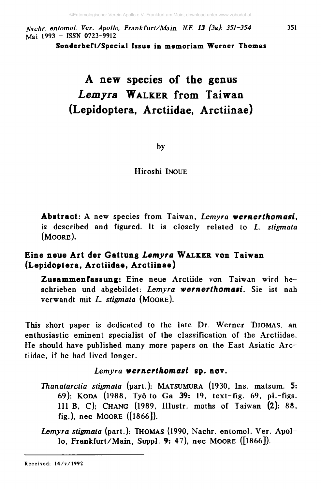*ffachr. entomol. Ver. Apollo, Frankfurt/M a in , N.F. 13 (3a): 351-354* 351 Mai 1993 - ISSN 0723-9912

Sonderheft/Special Issue in memoriam Werner Thomas

## A new species of the genus Lemyra WALKER from Taiwan (Lepidoptera, Arctiidae, Arctiinae)

by

Hiroshi INOUE

**Abstract:** A new species from Taiwan, *Lemyra wernerthomasi,* is described and figured. It is closely related to *L. stigmata* (Moore).

### **Eine neue Art der Gattung** *Lemyra* **W a l k e r von Taiwan (Lepidoptera, Arctiidae, Arctiinae)**

**Zusammenfassung:** Eine neue Arctiide von Taiwan wird beschrieben und abgebildet: *Lemyra wernerthomasi.* Sie ist nah verwandt mit *L. stigmata* (Moore).

This short paper is dedicated to the late Dr. Werner Thomas, an enthusiastic eminent specialist of the classification of the Arctiidae. He should have published many more papers on the East Asiatic Arctiidae, if he had lived longer.

#### *Lemyra wernerthom asi* **sp. nov.**

*Thanatarctia stigmata* (part.): MATSUMURA (1930, Ins. matsum. 5: 69); Koda (1988, Tyo to Ga 39: 19, text-fig. 69, pi.-figs. Ill B, C); Chang (1989, Illustr. moths of Taiwan (2): 88, fig.), nec Moore ([1866]).

*Lemyra stigmata* (part.): Thomas (1990, Nachr. entomol. Ver. Apollo, Frankfurt/Main, Suppl. 9: 47), nec Moore ([1866]).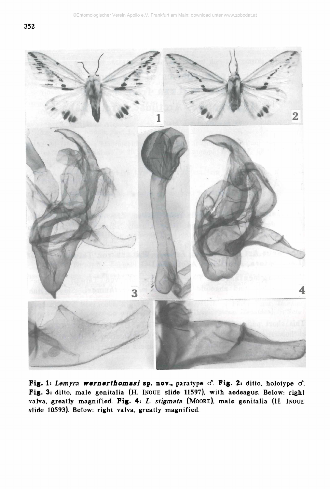

Fig. 1: *Lemyra wernerthomasi* sp. nor., paratype d". Fig. 2: ditto, holotype cf. Fig. 3: ditto, male genitalia (H. INOUE slide 11597), with aedeagus. Below: right valva, greatly magnified. Fig. 4: *L. stigmata* (MOORE), male genitalia (H. INOUE slide 10593). Below: right valva. greatly magnified.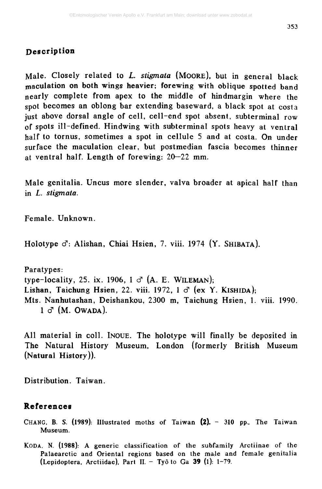#### Description

Male. Closely related to *L. stigmata* (MOORE), but in general black maculation on both wings heavier; forewing with oblique spotted band nearly complete from apex to the middle of hindmargin where the spot becomes an oblong bar extending baseward, a black spot at costa just above dorsal angle of cell, cell-end spot absent, subterminal row of spots ill-defined. Hindwing with subterminal spots heavy at ventral half to tornus, sometimes a spot in cellule 5 and at costa. On under surface the maculation clear, but postmedian fascia becomes thinner at ventral half. Length of forewing: 20—22 mm.

Male genitalia. Uncus more slender, valva broader at apical half than in *L. stigmata.*

Female. Unknown.

Holotype  $\sigma$ : Alishan, Chiai Hsien, 7. viii. 1974 (Y. SHIBATA).

Paratypes: type-locality, 25. ix. 1906, 1  $\sigma$  (A. E. WILEMAN); Lishan, Taichung Hsien, 22. viii. 1972, 1  $\sigma$  (ex Y. KISHIDA); Mts. Nanhutashan, Deishankou, 2300 m, Taichung Hsien, 1. viii. 1990.  $1 \circ$  (M. Owada).

All material in coll. INOUE. The holotype will finally be deposited in The Natural History Museum, London (formerly British Museum (Natural History)).

Distribution. Taiwan.

#### **References**

CHANG, B. S. (1989): Illustrated moths of Taiwan (2). - 310 pp.. The Taiwan Museum.

KODA, N. (1988): A generic classification of the subfamily Arctiinae of the Palaearctic and Oriental regions based on the male and female genitalia (Lepidoptera, Arctiidae), Part II.  $-$  Tyô to Ga 39 (1): 1-79.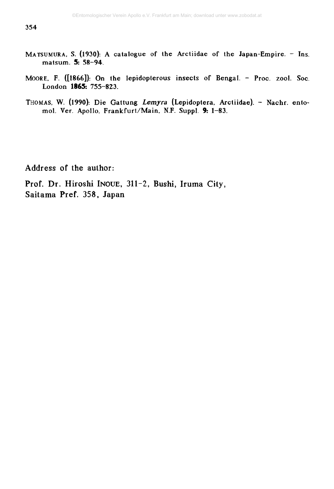- MATSUMURA, S. (1930): A catalogue of the Arctiidae of the Japan-Empire. Ins. matsum . **5:** 58-94.
- MOORE, F. ([1866]): On the lepidopterous insects of Bengal. Proc. zool. Soc. London **1865:** 755-823.
- THOMAS, W. (1990): Die Gattung Lemyra (Lepidoptera, Arctiidae). Nachr. entomol. Ver. Apollo, Frankfurt/Main, N.F. Suppl. 9: 1-83.

Address of the author:

Prof. Dr. Hiroshi Inoue, 311-2, Bushi, Iruma City, Saitama Pref. 358, Japan